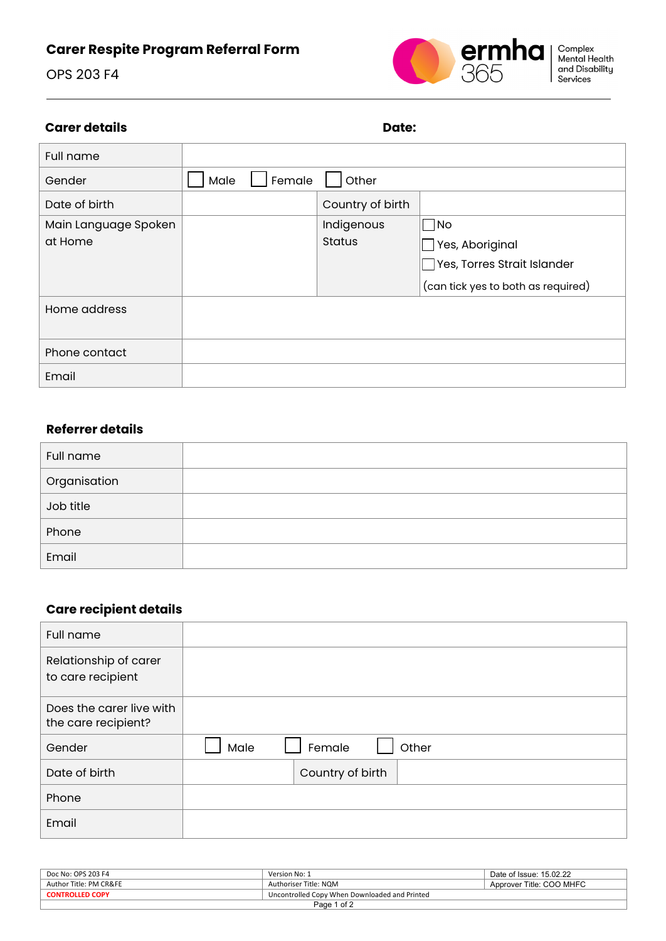# **Carer Respite Program Referral Form**





### **Carer details Date:** Date:

| <b>Full name</b>     |                |                  |                                    |
|----------------------|----------------|------------------|------------------------------------|
| Gender               | Female<br>Male | Other            |                                    |
| Date of birth        |                | Country of birth |                                    |
| Main Language Spoken |                | Indigenous       | No                                 |
| at Home              |                | <b>Status</b>    | Yes, Aboriginal                    |
|                      |                |                  | Yes, Torres Strait Islander        |
|                      |                |                  | (can tick yes to both as required) |
| Home address         |                |                  |                                    |
|                      |                |                  |                                    |
| Phone contact        |                |                  |                                    |
| Email                |                |                  |                                    |

### **Referrer details**

| Full name    |  |
|--------------|--|
| Organisation |  |
| Job title    |  |
| Phone        |  |
| Email        |  |

### **Care recipient details**

| <b>Full name</b>                                |                         |
|-------------------------------------------------|-------------------------|
| Relationship of carer<br>to care recipient      |                         |
| Does the carer live with<br>the care recipient? |                         |
| Gender                                          | Male<br>Female<br>Other |
| Date of birth                                   | Country of birth        |
| Phone                                           |                         |
| Email                                           |                         |

| Doc No: OPS 203 F4                                                      | Version No: 1         | Date of Issue: 15.02.22  |  |
|-------------------------------------------------------------------------|-----------------------|--------------------------|--|
| Author Title: PM CR&FE                                                  | Authoriser Title: NOM | Approver Title: COO MHFC |  |
| Uncontrolled Copy When Downloaded and Printed<br><b>CONTROLLED COPY</b> |                       |                          |  |
| Page 1 of 2                                                             |                       |                          |  |